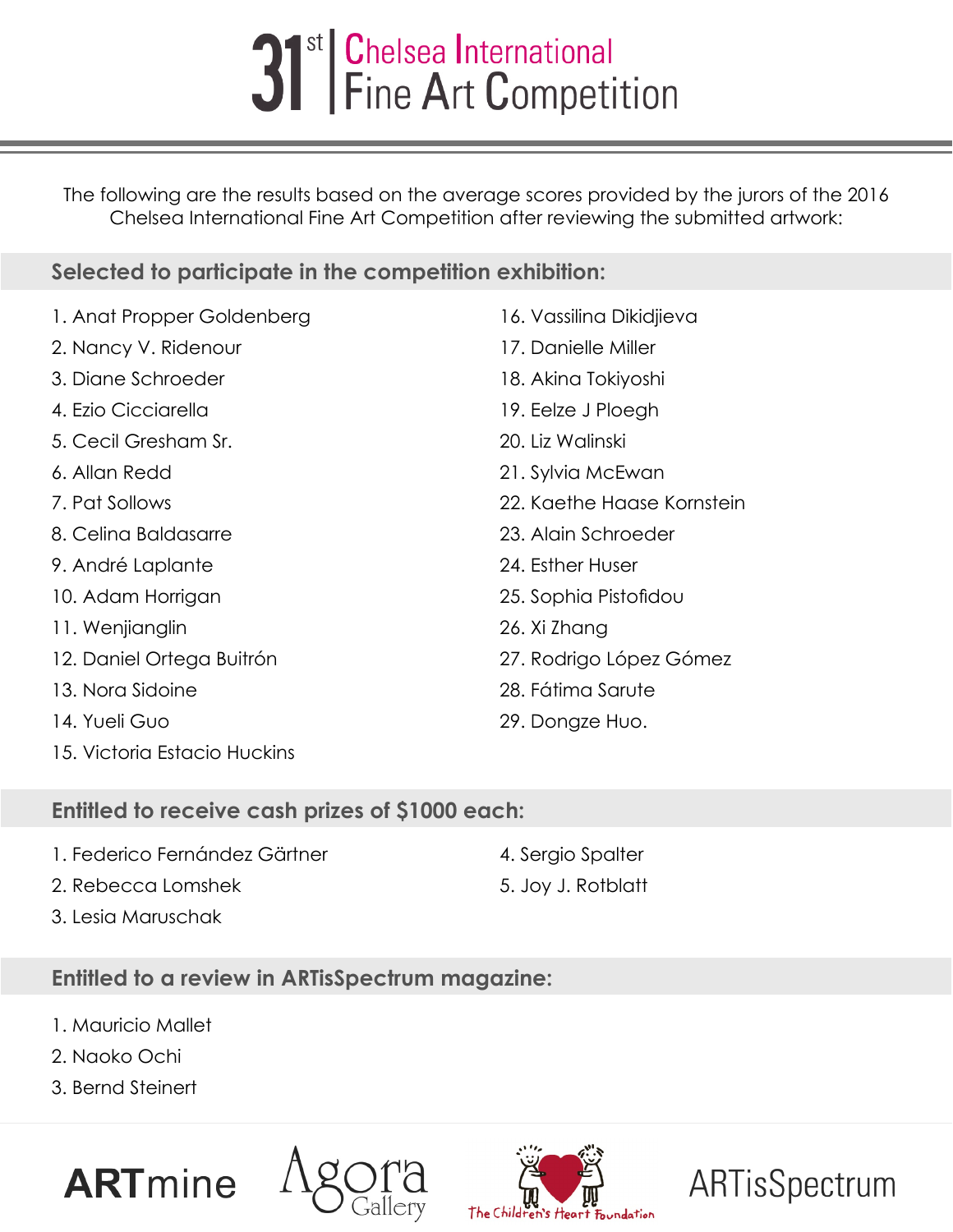## 31<sup>st</sup> Chelsea International<br>
Fine Art Competition

The following are the results based on the average scores provided by the jurors of the 2016 Chelsea International Fine Art Competition after reviewing the submitted artwork:

## **Selected to participate in the competition exhibition:**

| 1. Anat Propper Goldenberg | 16. Vassilina Dikidjieva |
|----------------------------|--------------------------|
| 2. Nancy V. Ridenour       | 17. Danielle Miller      |
| 3. Diane Schroeder         | 18. Akina Tokiyoshi      |
| 4. Ezio Cicciarella        | 19. Eelze J Ploegh       |
| 5. Cecil Gresham Sr.       | 20. Liz Walinski         |
| 6. Allan Redd              | 21. Sylvia McEwan        |
| 7. Pat Sollows             | 22. Kaethe Haase Kornst  |
| 8. Celina Baldasarre       | 23. Alain Schroeder      |
| 9. André Laplante          | 24. Esther Huser         |
| 10. Adam Horrigan          | 25. Sophia Pistofidou    |
| 11. Wenjianglin            | 26. Xi Zhang             |
| 12. Daniel Ortega Buitrón  | 27. Rodrigo López Góme   |
| 13. Nora Sidoine           | 28. Fátima Sarute        |
| 14. Yueli Guo              | 29. Dongze Huo.          |

- 15. Victoria Estacio Huckins
- 
- **Entitled to a review in ARTisSpectrum magazine:**
- 1. Mauricio Mallet
- 2. Naoko Ochi
- 3. Bernd Steinert









4. Sergio Spalter

22. Kaethe Haase Kornstein

- 27. Rodrigo López Gómez
- 29. Dongze Huo.
- **Entitled to receive cash prizes of \$1000 each:**
- 1. Federico Fernández Gärtner
- 2. Rebecca Lomshek
- 3. Lesia Maruschak

5. Joy J. Rotblatt